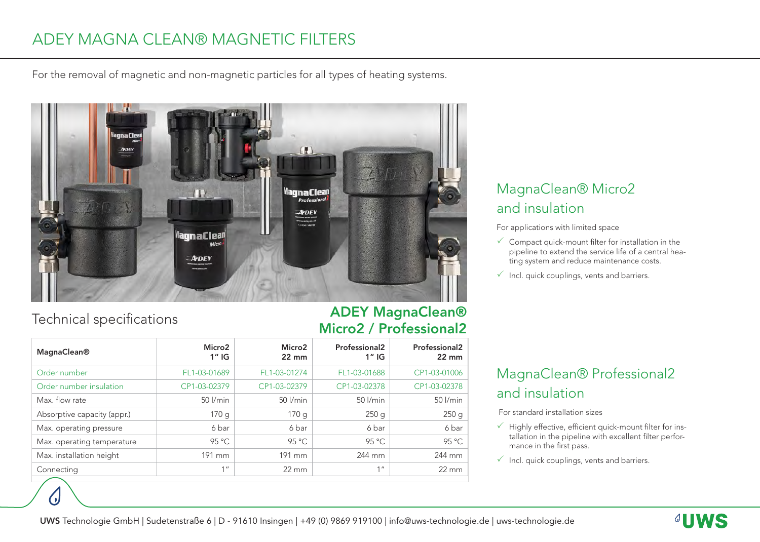# ADEY MAGNA CLEAN® MAGNETIC FILTERS

For the removal of magnetic and non-magnetic particles for all types of heating systems.



### Technical specifications

٠,

#### ADEY MagnaClean® Micro2 / Professional2

| <b>MagnaClean®</b>          | Micro <sub>2</sub><br>$1''$ IG | Micro <sub>2</sub><br>$22 \text{ mm}$ | Professional <sub>2</sub><br>$1''$ IG | Professional <sub>2</sub><br>$22 \text{ mm}$ |
|-----------------------------|--------------------------------|---------------------------------------|---------------------------------------|----------------------------------------------|
| Order number                | FL1-03-01689                   | FL1-03-01274                          | FL1-03-01688                          | CP1-03-01006                                 |
| Order number insulation     | CP1-03-02379                   | CP1-03-02379                          | CP1-03-02378                          | CP1-03-02378                                 |
| Max. flow rate              | $50$ $l/min$                   | $50$ $l/min$                          | 50 l/min                              | $50$ $l/min$                                 |
| Absorptive capacity (appr.) | 170g                           | 170g                                  | 250g                                  | 250g                                         |
| Max. operating pressure     | 6 bar                          | 6 bar                                 | 6 bar                                 | 6 bar                                        |
| Max. operating temperature  | 95 °C                          | 95 °C                                 | 95 °C                                 | 95 °C                                        |
| Max. installation height    | 191 mm                         | 191 mm                                | 244 mm                                | 244 mm                                       |
| Connecting                  | 1 <sup>II</sup>                | $22 \text{ mm}$                       | 1 <sup>''</sup>                       | $22 \, \text{mm}$                            |
|                             |                                |                                       |                                       |                                              |

## MagnaClean® Micro2 and insulation

For applications with limited space

- $\checkmark$  Compact quick-mount filter for installation in the pipeline to extend the service life of a central heating system and reduce maintenance costs.
- $\checkmark$  Incl. quick couplings, vents and barriers.

### MagnaClean® Professional2 and insulation

For standard installation sizes

- $\checkmark$  Highly effective, efficient quick-mount filter for installation in the pipeline with excellent filter performance in the first pass.
- $\checkmark$  Incl. quick couplings, vents and barriers.